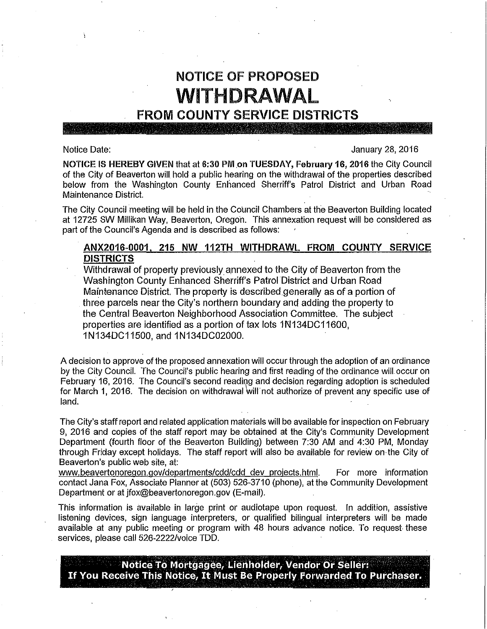# NOTICE OF PROPOSED WITHDRAWAL

## FROM COUNTY SERVICE DISTRICTS

### Notice Date: January 28, 2016

NOTICE IS HEREBY GIVEN that at 6:30 PM on TUESDAY, February 16, 2016 the City Council of the City of Beaverton will. hold a public hearing on the withdrawal of the properties described below from the Washington County Enhanced Sherriff's Patrol District and Urban Road Maintenance District.

The City Council meeting will be held in the Council Chambers at the Beaverton Building located at 12725 SW Millikan Way, Beaverton, Oregon. This annexation request will be considered as part of the Council's Agenda and is described as follows:

## ANX2016-0001, 215 NW .112TH WITHDRAWL FROM COUNTY SERVICE DISTRICTS

Withdrawal of property previouslyannexed to the City of Beaverton from the Washington County Enhanced Sherriff's Patrol District and Urban Road Maintenance District. The property is described generally as of a portion of three parcels near the City's northern boundary and adding the property to the Central Beaverton Neighborhood Association Committee. The subject properties are identified as a portion of tax lots 1N134DC11600, 1 N134DC11500, and 1 N134DC02000.

A decision to approve of the proposed annexation will occur through the adoption of an ordinance by the City Council. The Council's public hearing and first reading of the ordinance will. occur on February 16, 2016. The Council's second reading and decision regarding adoption is scheduled for March 1, 2016. The decision on withdrawal will not authorize of prevent any specific use of land.

The City's staff report and related application materials will be available for inspection on February 9; 2016 and copies of the staff report may be obtained at the City's Community Development Department (fourth floor of the Beaverton Building) between 7:30 AM and 4:30 PM, Monday through Friday except holidays. The staff report will also be available for review on the City of Beaverton's public web site, at:

www.beavertonoregon.gov/departments/cdd/cdd dev projects.html. For more information contact Jana Fox, Associate Planner at (503) 526-3710 (phone), at the Community Development Department or at jfox@beavertonoregon.gov (E-mail).

This information is available in large print or audiotape upon request. In addition, assistive listening devices, sign language interpreters, or qualified bilingual interpreters will be made available at any public meeting or program with 48 hours advance notice. To request these services, please call 526-2222/voice TDD.

Notice To Mortgagee, Lienholder, Vendor Or Seller: If You Receive This Notice, It Must Be Properly Forwarded To Purchaser. - -- - . - '- - - ---